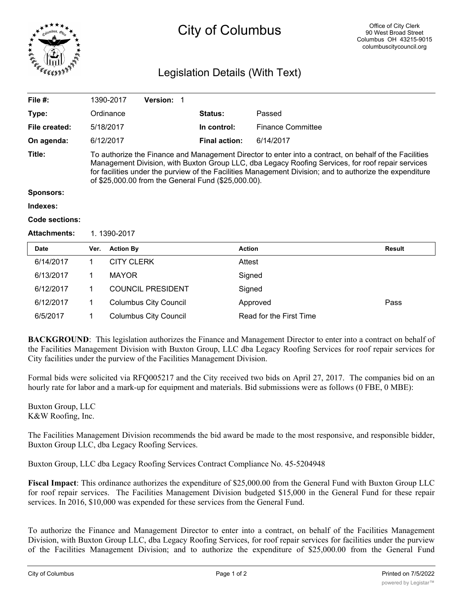

## City of Columbus

## Legislation Details (With Text)

| File $#$ :          |                                                                                                                                                                                                                                                                                                                                                                                | 1390-2017         | <b>Version:</b>          |  |                      |                          |               |
|---------------------|--------------------------------------------------------------------------------------------------------------------------------------------------------------------------------------------------------------------------------------------------------------------------------------------------------------------------------------------------------------------------------|-------------------|--------------------------|--|----------------------|--------------------------|---------------|
| Type:               |                                                                                                                                                                                                                                                                                                                                                                                | Ordinance         |                          |  | <b>Status:</b>       | Passed                   |               |
| File created:       |                                                                                                                                                                                                                                                                                                                                                                                | 5/18/2017         |                          |  | In control:          | <b>Finance Committee</b> |               |
| On agenda:          |                                                                                                                                                                                                                                                                                                                                                                                | 6/12/2017         |                          |  | <b>Final action:</b> | 6/14/2017                |               |
| Title:              | To authorize the Finance and Management Director to enter into a contract, on behalf of the Facilities<br>Management Division, with Buxton Group LLC, dba Legacy Roofing Services, for roof repair services<br>for facilities under the purview of the Facilities Management Division; and to authorize the expenditure<br>of \$25,000.00 from the General Fund (\$25,000.00). |                   |                          |  |                      |                          |               |
| <b>Sponsors:</b>    |                                                                                                                                                                                                                                                                                                                                                                                |                   |                          |  |                      |                          |               |
| Indexes:            |                                                                                                                                                                                                                                                                                                                                                                                |                   |                          |  |                      |                          |               |
| Code sections:      |                                                                                                                                                                                                                                                                                                                                                                                |                   |                          |  |                      |                          |               |
| <b>Attachments:</b> | 1.1390-2017                                                                                                                                                                                                                                                                                                                                                                    |                   |                          |  |                      |                          |               |
| <b>Date</b>         | Ver.                                                                                                                                                                                                                                                                                                                                                                           | <b>Action By</b>  |                          |  | <b>Action</b>        |                          | <b>Result</b> |
| 6/14/2017           | 1                                                                                                                                                                                                                                                                                                                                                                              | <b>CITY CLERK</b> |                          |  | Attest               |                          |               |
| 6/13/2017           | 1                                                                                                                                                                                                                                                                                                                                                                              | <b>MAYOR</b>      |                          |  | Signed               |                          |               |
| 6/12/2017           |                                                                                                                                                                                                                                                                                                                                                                                |                   | <b>COUNCIL PRESIDENT</b> |  | Signed               |                          |               |

6/12/2017 1 Columbus City Council Approved Pass 6/5/2017 1 Columbus City Council Read for the First Time

**BACKGROUND**: This legislation authorizes the Finance and Management Director to enter into a contract on behalf of the Facilities Management Division with Buxton Group, LLC dba Legacy Roofing Services for roof repair services for City facilities under the purview of the Facilities Management Division.

Formal bids were solicited via RFQ005217 and the City received two bids on April 27, 2017. The companies bid on an hourly rate for labor and a mark-up for equipment and materials. Bid submissions were as follows (0 FBE, 0 MBE):

Buxton Group, LLC K&W Roofing, Inc.

The Facilities Management Division recommends the bid award be made to the most responsive, and responsible bidder, Buxton Group LLC, dba Legacy Roofing Services.

Buxton Group, LLC dba Legacy Roofing Services Contract Compliance No. 45-5204948

**Fiscal Impact**: This ordinance authorizes the expenditure of \$25,000.00 from the General Fund with Buxton Group LLC for roof repair services. The Facilities Management Division budgeted \$15,000 in the General Fund for these repair services. In 2016, \$10,000 was expended for these services from the General Fund.

To authorize the Finance and Management Director to enter into a contract, on behalf of the Facilities Management Division, with Buxton Group LLC, dba Legacy Roofing Services, for roof repair services for facilities under the purview of the Facilities Management Division; and to authorize the expenditure of \$25,000.00 from the General Fund